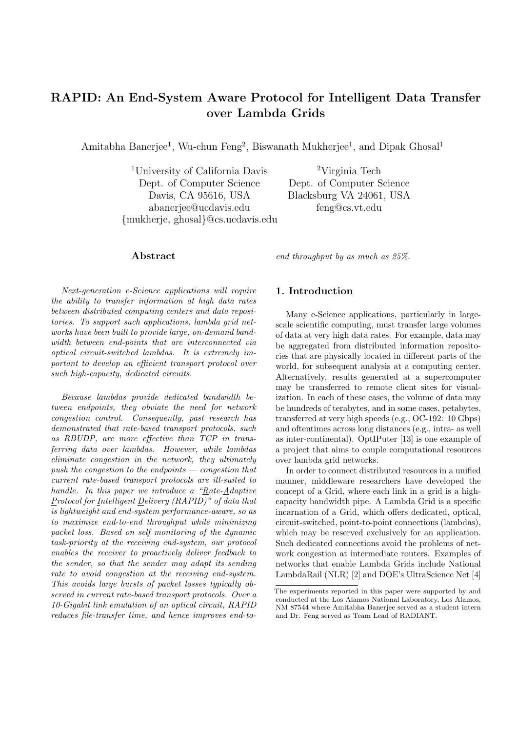# **RAPID: An End-System Aware Protocol for Intelligent Data Transfer over Lambda Grids**

Amitabha Banerjee<sup>1</sup>, Wu-chun Feng<sup>2</sup>, Biswanath Mukherjee<sup>1</sup>, and Dipak Ghosal<sup>1</sup>

<sup>1</sup>University of California Davis <sup>2</sup>Virginia Tech Dept. of Computer Science Dept. of Computer Science Davis, CA 95616, USA Blacksburg VA 24061, USA abanerjee@ucdavis.edu feng@cs.vt.edu *{*mukherje, ghosal*}*@cs.ucdavis.edu

#### **Abstract**

*end throughput by as much as 25%.*

*Next-generation e-Science applications will require the ability to transfer information at high data rates between distributed computing centers and data repositories. To support such applications, lambda grid networks have been built to provide large, on-demand bandwidth between end-points that are interconnected via optical circuit-switched lambdas. It is extremely important to develop an efficient transport protocol over such high-capacity, dedicated circuits.*

*Because lambdas provide dedicated bandwidth between endpoints, they obviate the need for network congestion control. Consequently, past research has demonstrated that rate-based transport protocols, such as RBUDP, are more effective than TCP in transferring data over lambdas. However, while lambdas eliminate congestion in the network, they ultimately push the congestion to the endpoints — congestion that current rate-based transport protocols are ill-suited to handle. In this paper we introduce a "Rate-Adaptive Protocol for Intelligent Delivery (RAPID)" of data that is lightweight and end-system performance-aware, so as to maximize end-to-end throughput while minimizing packet loss. Based on self monitoring of the dynamic task-priority at the receiving end-system, our protocol enables the receiver to proactively deliver feedback to the sender, so that the sender may adapt its sending rate to avoid congestion at the receiving end-system. This avoids large bursts of packet losses typically observed in current rate-based transport protocols. Over a 10-Gigabit link emulation of an optical circuit, RAPID reduces file-transfer time, and hence improves end-to-*

## **1. Introduction**

Many e-Science applications, particularly in largescale scientific computing, must transfer large volumes of data at very high data rates. For example, data may be aggregated from distributed information repositories that are physically located in different parts of the world, for subsequent analysis at a computing center. Alternatively, results generated at a supercomputer may be transferred to remote client sites for visualization. In each of these cases, the volume of data may be hundreds of terabytes, and in some cases, petabytes, transferred at very high speeds (e.g., OC-192: 10 Gbps) and oftentimes across long distances (e.g., intra- as well as inter-continental). OptIPuter [13] is one example of a project that aims to couple computational resources over lambda grid networks.

In order to connect distributed resources in a unified manner, middleware researchers have developed the concept of a Grid, where each link in a grid is a highcapacity bandwidth pipe. A Lambda Grid is a specific incarnation of a Grid, which offers dedicated, optical, circuit-switched, point-to-point connections (lambdas), which may be reserved exclusively for an application. Such dedicated connections avoid the problems of network congestion at intermediate routers. Examples of networks that enable Lambda Grids include National LambdaRail (NLR) [2] and DOE's UltraScience Net [4]

The experiments reported in this paper were supported by and conducted at the Los Alamos National Laboratory, Los Alamos, NM 87544 where Amitabha Banerjee served as a student intern and Dr. Feng served as Team Lead of RADIANT.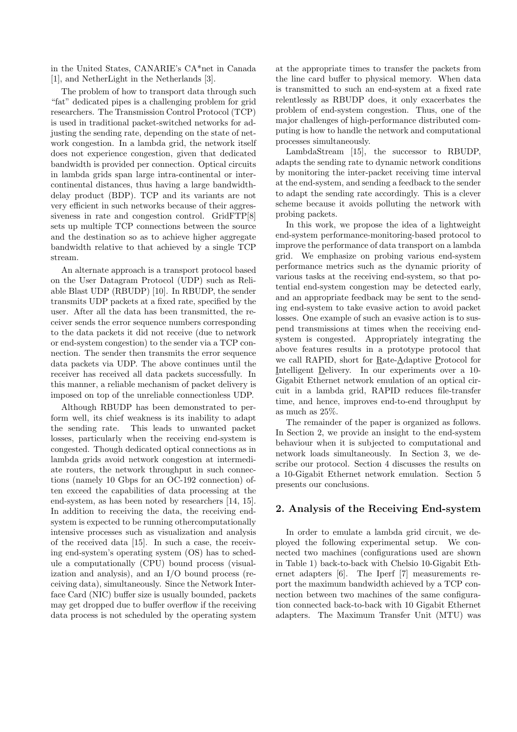in the United States, CANARIE's CA\*net in Canada [1], and NetherLight in the Netherlands [3].

The problem of how to transport data through such "fat" dedicated pipes is a challenging problem for grid researchers. The Transmission Control Protocol (TCP) is used in traditional packet-switched networks for adjusting the sending rate, depending on the state of network congestion. In a lambda grid, the network itself does not experience congestion, given that dedicated bandwidth is provided per connection. Optical circuits in lambda grids span large intra-continental or intercontinental distances, thus having a large bandwidthdelay product (BDP). TCP and its variants are not very efficient in such networks because of their aggressiveness in rate and congestion control. GridFTP[8] sets up multiple TCP connections between the source and the destination so as to achieve higher aggregate bandwidth relative to that achieved by a single TCP stream.

An alternate approach is a transport protocol based on the User Datagram Protocol (UDP) such as Reliable Blast UDP (RBUDP) [10]. In RBUDP, the sender transmits UDP packets at a fixed rate, specified by the user. After all the data has been transmitted, the receiver sends the error sequence numbers corresponding to the data packets it did not receive (due to network or end-system congestion) to the sender via a TCP connection. The sender then transmits the error sequence data packets via UDP. The above continues until the receiver has received all data packets successfully. In this manner, a reliable mechanism of packet delivery is imposed on top of the unreliable connectionless UDP.

Although RBUDP has been demonstrated to perform well, its chief weakness is its inability to adapt the sending rate. This leads to unwanted packet losses, particularly when the receiving end-system is congested. Though dedicated optical connections as in lambda grids avoid network congestion at intermediate routers, the network throughput in such connections (namely 10 Gbps for an OC-192 connection) often exceed the capabilities of data processing at the end-system, as has been noted by researchers [14, 15]. In addition to receiving the data, the receiving endsystem is expected to be running othercomputationally intensive processes such as visualization and analysis of the received data [15]. In such a case, the receiving end-system's operating system (OS) has to schedule a computationally (CPU) bound process (visualization and analysis), and an I/O bound process (receiving data), simultaneously. Since the Network Interface Card (NIC) buffer size is usually bounded, packets may get dropped due to buffer overflow if the receiving data process is not scheduled by the operating system

at the appropriate times to transfer the packets from the line card buffer to physical memory. When data is transmitted to such an end-system at a fixed rate relentlessly as RBUDP does, it only exacerbates the problem of end-system congestion. Thus, one of the major challenges of high-performance distributed computing is how to handle the network and computational processes simultaneously.

LambdaStream [15], the successor to RBUDP, adapts the sending rate to dynamic network conditions by monitoring the inter-packet receiving time interval at the end-system, and sending a feedback to the sender to adapt the sending rate accordingly. This is a clever scheme because it avoids polluting the network with probing packets.

In this work, we propose the idea of a lightweight end-system performance-monitoring-based protocol to improve the performance of data transport on a lambda grid. We emphasize on probing various end-system performance metrics such as the dynamic priority of various tasks at the receiving end-system, so that potential end-system congestion may be detected early, and an appropriate feedback may be sent to the sending end-system to take evasive action to avoid packet losses. One example of such an evasive action is to suspend transmissions at times when the receiving endsystem is congested. Appropriately integrating the above features results in a prototype protocol that we call RAPID, short for Rate-Adaptive Protocol for Intelligent Delivery. In our experiments over a 10- Gigabit Ethernet network emulation of an optical circuit in a lambda grid, RAPID reduces file-transfer time, and hence, improves end-to-end throughput by as much as 25%.

The remainder of the paper is organized as follows. In Section 2, we provide an insight to the end-system behaviour when it is subjected to computational and network loads simultaneously. In Section 3, we describe our protocol. Section 4 discusses the results on a 10-Gigabit Ethernet network emulation. Section 5 presents our conclusions.

## **2. Analysis of the Receiving End-system**

In order to emulate a lambda grid circuit, we deployed the following experimental setup. We connected two machines (configurations used are shown in Table 1) back-to-back with Chelsio 10-Gigabit Ethernet adapters [6]. The Iperf [7] measurements report the maximum bandwidth achieved by a TCP connection between two machines of the same configuration connected back-to-back with 10 Gigabit Ethernet adapters. The Maximum Transfer Unit (MTU) was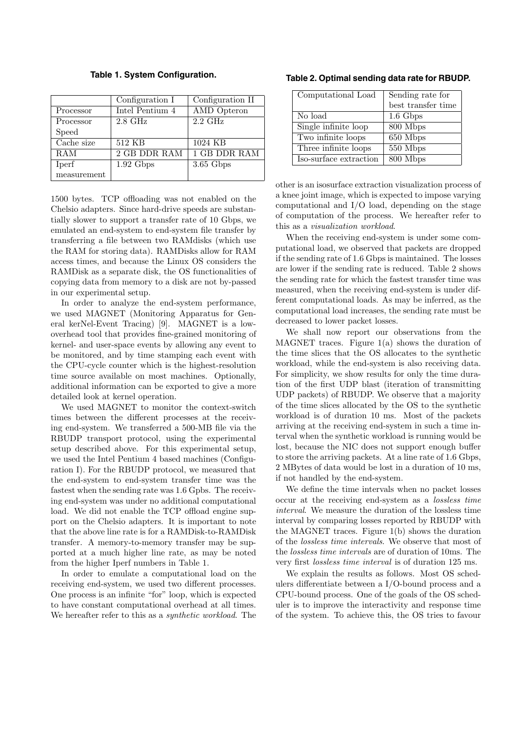|             | Configuration I  | Configuration II |
|-------------|------------------|------------------|
| Processor   | Intel Pentium 4  | AMD Opteron      |
| Processor   | $2.8\text{ GHz}$ | $2.2\text{ GHz}$ |
| Speed       |                  |                  |
| Cache size  | 512 KB           | 1024 KB          |
| <b>RAM</b>  | 2 GB DDR RAM     | 1 GB DDR RAM     |
| Iperf       | $1.92$ Gbps      | $3.65$ Gbps      |
| measurement |                  |                  |

**Table 1. System Configuration.**

1500 bytes. TCP offloading was not enabled on the Chelsio adapters. Since hard-drive speeds are substantially slower to support a transfer rate of 10 Gbps, we emulated an end-system to end-system file transfer by transferring a file between two RAMdisks (which use the RAM for storing data). RAMDisks allow for RAM access times, and because the Linux OS considers the RAMDisk as a separate disk, the OS functionalities of copying data from memory to a disk are not by-passed in our experimental setup.

In order to analyze the end-system performance, we used MAGNET (Monitoring Apparatus for General kerNel-Event Tracing) [9]. MAGNET is a lowoverhead tool that provides fine-grained monitoring of kernel- and user-space events by allowing any event to be monitored, and by time stamping each event with the CPU-cycle counter which is the highest-resolution time source available on most machines. Optionally, additional information can be exported to give a more detailed look at kernel operation.

We used MAGNET to monitor the context-switch times between the different processes at the receiving end-system. We transferred a 500-MB file via the RBUDP transport protocol, using the experimental setup described above. For this experimental setup, we used the Intel Pentium 4 based machines (Configuration I). For the RBUDP protocol, we measured that the end-system to end-system transfer time was the fastest when the sending rate was 1.6 Gpbs. The receiving end-system was under no additional computational load. We did not enable the TCP offload engine support on the Chelsio adapters. It is important to note that the above line rate is for a RAMDisk-to-RAMDisk transfer. A memory-to-memory transfer may be supported at a much higher line rate, as may be noted from the higher Iperf numbers in Table 1.

In order to emulate a computational load on the receiving end-system, we used two different processes. One process is an infinite "for" loop, which is expected to have constant computational overhead at all times. We hereafter refer to this as a *synthetic workload*. The

**Table 2. Optimal sending data rate for RBUDP.**

| Computational Load     | Sending rate for   |
|------------------------|--------------------|
|                        | best transfer time |
| No load                | $1.6 \text{ Gbps}$ |
| Single infinite loop   | 800 Mbps           |
| Two infinite loops     | 650 Mbps           |
| Three infinite loops   | 550 Mbps           |
| Iso-surface extraction | 800 Mbps           |

other is an isosurface extraction visualization process of a knee joint image, which is expected to impose varying computational and I/O load, depending on the stage of computation of the process. We hereafter refer to this as a *visualization workload*.

When the receiving end-system is under some computational load, we observed that packets are dropped if the sending rate of 1.6 Gbps is maintained. The losses are lower if the sending rate is reduced. Table 2 shows the sending rate for which the fastest transfer time was measured, when the receiving end-system is under different computational loads. As may be inferred, as the computational load increases, the sending rate must be decreased to lower packet losses.

We shall now report our observations from the MAGNET traces. Figure 1(a) shows the duration of the time slices that the OS allocates to the synthetic workload, while the end-system is also receiving data. For simplicity, we show results for only the time duration of the first UDP blast (iteration of transmitting UDP packets) of RBUDP. We observe that a majority of the time slices allocated by the OS to the synthetic workload is of duration 10 ms. Most of the packets arriving at the receiving end-system in such a time interval when the synthetic workload is running would be lost, because the NIC does not support enough buffer to store the arriving packets. At a line rate of 1.6 Gbps, 2 MBytes of data would be lost in a duration of 10 ms, if not handled by the end-system.

We define the time intervals when no packet losses occur at the receiving end-system as a *lossless time interval*. We measure the duration of the lossless time interval by comparing losses reported by RBUDP with the MAGNET traces. Figure 1(b) shows the duration of the *lossless time intervals*. We observe that most of the *lossless time intervals* are of duration of 10ms. The very first *lossless time interval* is of duration 125 ms.

We explain the results as follows. Most OS schedulers differentiate between a I/O-bound process and a CPU-bound process. One of the goals of the OS scheduler is to improve the interactivity and response time of the system. To achieve this, the OS tries to favour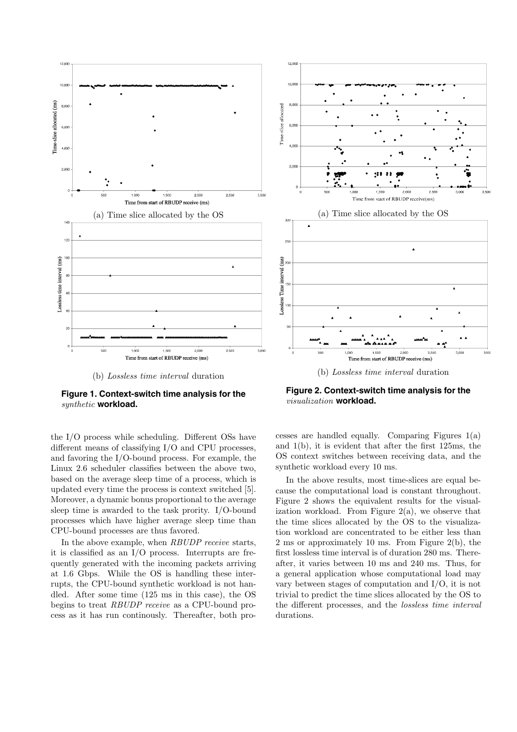

(b) *Lossless time interval* duration

**Figure 1. Context-switch time analysis for the** *synthetic* **workload.**

the I/O process while scheduling. Different OSs have different means of classifying I/O and CPU processes, and favoring the I/O-bound process. For example, the Linux 2.6 scheduler classifies between the above two, based on the average sleep time of a process, which is updated every time the process is context switched [5]. Moreover, a dynamic bonus proportional to the average sleep time is awarded to the task prority. I/O-bound processes which have higher average sleep time than CPU-bound processes are thus favored.

In the above example, when *RBUDP receive* starts, it is classified as an I/O process. Interrupts are frequently generated with the incoming packets arriving at 1.6 Gbps. While the OS is handling these interrupts, the CPU-bound synthetic workload is not handled. After some time (125 ms in this case), the OS begins to treat *RBUDP receive* as a CPU-bound process as it has run continously. Thereafter, both pro-



**Figure 2. Context-switch time analysis for the** *visualization* **workload.**

cesses are handled equally. Comparing Figures 1(a) and 1(b), it is evident that after the first 125ms, the OS context switches between receiving data, and the synthetic workload every 10 ms.

In the above results, most time-slices are equal because the computational load is constant throughout. Figure 2 shows the equivalent results for the visualization workload. From Figure  $2(a)$ , we observe that the time slices allocated by the OS to the visualization workload are concentrated to be either less than 2 ms or approximately 10 ms. From Figure 2(b), the first lossless time interval is of duration 280 ms. Thereafter, it varies between 10 ms and 240 ms. Thus, for a general application whose computational load may vary between stages of computation and I/O, it is not trivial to predict the time slices allocated by the OS to the different processes, and the *lossless time interval* durations.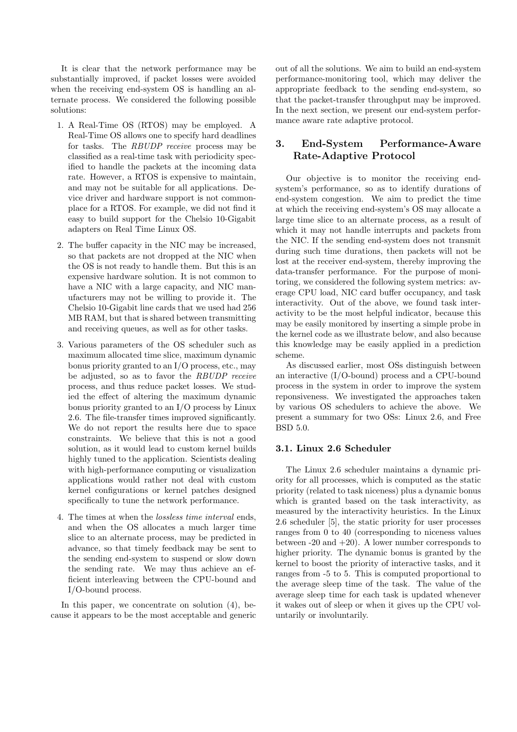It is clear that the network performance may be substantially improved, if packet losses were avoided when the receiving end-system OS is handling an alternate process. We considered the following possible solutions:

- 1. A Real-Time OS (RTOS) may be employed. A Real-Time OS allows one to specify hard deadlines for tasks. The *RBUDP receive* process may be classified as a real-time task with periodicity specified to handle the packets at the incoming data rate. However, a RTOS is expensive to maintain, and may not be suitable for all applications. Device driver and hardware support is not commonplace for a RTOS. For example, we did not find it easy to build support for the Chelsio 10-Gigabit adapters on Real Time Linux OS.
- 2. The buffer capacity in the NIC may be increased, so that packets are not dropped at the NIC when the OS is not ready to handle them. But this is an expensive hardware solution. It is not common to have a NIC with a large capacity, and NIC manufacturers may not be willing to provide it. The Chelsio 10-Gigabit line cards that we used had 256 MB RAM, but that is shared between transmitting and receiving queues, as well as for other tasks.
- 3. Various parameters of the OS scheduler such as maximum allocated time slice, maximum dynamic bonus priority granted to an I/O process, etc., may be adjusted, so as to favor the *RBUDP receive* process, and thus reduce packet losses. We studied the effect of altering the maximum dynamic bonus priority granted to an I/O process by Linux 2.6. The file-transfer times improved significantly. We do not report the results here due to space constraints. We believe that this is not a good solution, as it would lead to custom kernel builds highly tuned to the application. Scientists dealing with high-performance computing or visualization applications would rather not deal with custom kernel configurations or kernel patches designed specifically to tune the network performance.
- 4. The times at when the *lossless time interval* ends, and when the OS allocates a much larger time slice to an alternate process, may be predicted in advance, so that timely feedback may be sent to the sending end-system to suspend or slow down the sending rate. We may thus achieve an efficient interleaving between the CPU-bound and I/O-bound process.

In this paper, we concentrate on solution (4), because it appears to be the most acceptable and generic out of all the solutions. We aim to build an end-system performance-monitoring tool, which may deliver the appropriate feedback to the sending end-system, so that the packet-transfer throughput may be improved. In the next section, we present our end-system performance aware rate adaptive protocol.

# **3. End-System Performance-Aware Rate-Adaptive Protocol**

Our objective is to monitor the receiving endsystem's performance, so as to identify durations of end-system congestion. We aim to predict the time at which the receiving end-system's OS may allocate a large time slice to an alternate process, as a result of which it may not handle interrupts and packets from the NIC. If the sending end-system does not transmit during such time durations, then packets will not be lost at the receiver end-system, thereby improving the data-transfer performance. For the purpose of monitoring, we considered the following system metrics: average CPU load, NIC card buffer occupancy, and task interactivity. Out of the above, we found task interactivity to be the most helpful indicator, because this may be easily monitored by inserting a simple probe in the kernel code as we illustrate below, and also because this knowledge may be easily applied in a prediction scheme.

As discussed earlier, most OSs distinguish between an interactive (I/O-bound) process and a CPU-bound process in the system in order to improve the system reponsiveness. We investigated the approaches taken by various OS schedulers to achieve the above. We present a summary for two OSs: Linux 2.6, and Free BSD 5.0.

### **3.1. Linux 2.6 Scheduler**

The Linux 2.6 scheduler maintains a dynamic priority for all processes, which is computed as the static priority (related to task niceness) plus a dynamic bonus which is granted based on the task interactivity, as measured by the interactivity heuristics. In the Linux 2.6 scheduler [5], the static priority for user processes ranges from 0 to 40 (corresponding to niceness values between  $-20$  and  $+20$ ). A lower number corresponds to higher priority. The dynamic bonus is granted by the kernel to boost the priority of interactive tasks, and it ranges from -5 to 5. This is computed proportional to the average sleep time of the task. The value of the average sleep time for each task is updated whenever it wakes out of sleep or when it gives up the CPU voluntarily or involuntarily.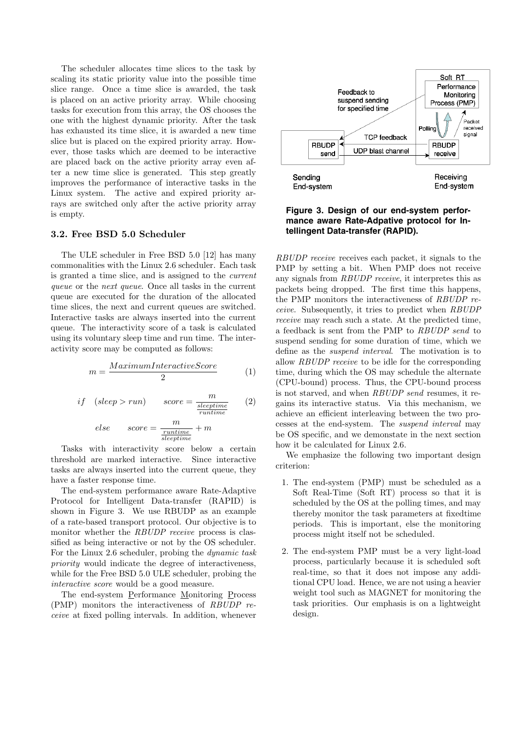The scheduler allocates time slices to the task by scaling its static priority value into the possible time slice range. Once a time slice is awarded, the task is placed on an active priority array. While choosing tasks for execution from this array, the OS chooses the one with the highest dynamic priority. After the task has exhausted its time slice, it is awarded a new time slice but is placed on the expired priority array. However, those tasks which are deemed to be interactive are placed back on the active priority array even after a new time slice is generated. This step greatly improves the performance of interactive tasks in the Linux system. The active and expired priority arrays are switched only after the active priority array is empty.

#### **3.2. Free BSD 5.0 Scheduler**

The ULE scheduler in Free BSD 5.0 [12] has many commonalities with the Linux 2.6 scheduler. Each task is granted a time slice, and is assigned to the *current queue* or the *next queue*. Once all tasks in the current queue are executed for the duration of the allocated time slices, the next and current queues are switched. Interactive tasks are always inserted into the current queue. The interactivity score of a task is calculated using its voluntary sleep time and run time. The interactivity score may be computed as follows:

$$
m = \frac{Maximum InteractiveScore}{2} \tag{1}
$$

$$
if \quad (sleep > run) \qquad score = \frac{m}{\frac{sleeptime}{ runtime}} \qquad (2)
$$

$$
else \qquad score = \frac{m}{\frac{runtime}{sleeptime}} + m
$$

Tasks with interactivity score below a certain threshold are marked interactive. Since interactive tasks are always inserted into the current queue, they have a faster response time.

The end-system performance aware Rate-Adaptive Protocol for Intelligent Data-transfer (RAPID) is shown in Figure 3. We use RBUDP as an example of a rate-based transport protocol. Our objective is to monitor whether the *RBUDP receive* process is classified as being interactive or not by the OS scheduler. For the Linux 2.6 scheduler, probing the *dynamic task priority* would indicate the degree of interactiveness, while for the Free BSD 5.0 ULE scheduler, probing the *interactive score* would be a good measure.

The end-system Performance Monitoring Process (PMP) monitors the interactiveness of *RBUDP receive* at fixed polling intervals. In addition, whenever



**Figure 3. Design of our end-system performance aware Rate-Adpative protocol for Intellingent Data-transfer (RAPID).**

*RBUDP receive* receives each packet, it signals to the PMP by setting a bit. When PMP does not receive any signals from *RBUDP receive*, it interpretes this as packets being dropped. The first time this happens, the PMP monitors the interactiveness of *RBUDP receive*. Subsequently, it tries to predict when *RBUDP receive* may reach such a state. At the predicted time, a feedback is sent from the PMP to *RBUDP send* to suspend sending for some duration of time, which we define as the *suspend interval*. The motivation is to allow *RBUDP receive* to be idle for the corresponding time, during which the OS may schedule the alternate (CPU-bound) process. Thus, the CPU-bound process is not starved, and when *RBUDP send* resumes, it regains its interactive status. Via this mechanism, we achieve an efficient interleaving between the two processes at the end-system. The *suspend interval* may be OS specific, and we demonstate in the next section how it be calculated for Linux 2.6.

We emphasize the following two important design criterion:

- 1. The end-system (PMP) must be scheduled as a Soft Real-Time (Soft RT) process so that it is scheduled by the OS at the polling times, and may thereby monitor the task parameters at fixedtime periods. This is important, else the monitoring process might itself not be scheduled.
- 2. The end-system PMP must be a very light-load process, particularly because it is scheduled soft real-time, so that it does not impose any additional CPU load. Hence, we are not using a heavier weight tool such as MAGNET for monitoring the task priorities. Our emphasis is on a lightweight design.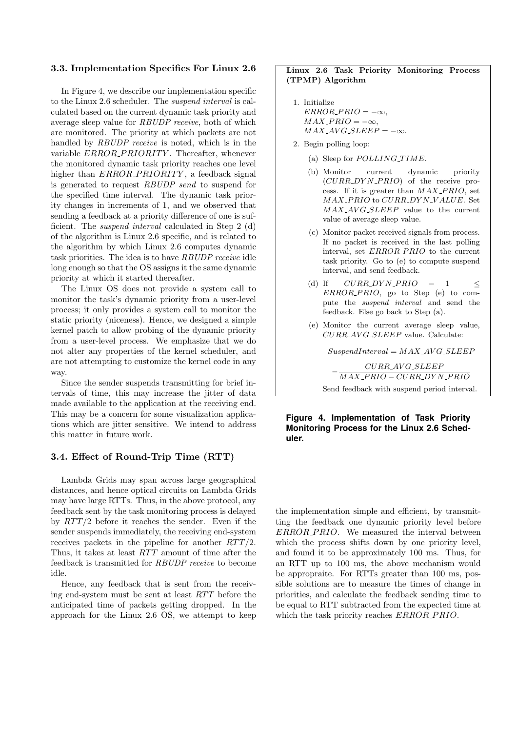#### **3.3. Implementation Specifics For Linux 2.6**

In Figure 4, we describe our implementation specific to the Linux 2.6 scheduler. The *suspend interval* is calculated based on the current dynamic task priority and average sleep value for *RBUDP receive*, both of which are monitored. The priority at which packets are not handled by *RBUDP receive* is noted, which is in the variable *ERROR\_PRIORITY*. Thereafter, whenever the monitored dynamic task priority reaches one level higher than *ERROR\_PRIORITY*, a feedback signal is generated to request *RBUDP send* to suspend for the specified time interval. The dynamic task priority changes in increments of 1, and we observed that sending a feedback at a priority difference of one is sufficient. The *suspend interval* calculated in Step 2 (d) of the algorithm is Linux 2.6 specific, and is related to the algorithm by which Linux 2.6 computes dynamic task priorities. The idea is to have *RBUDP receive* idle long enough so that the OS assigns it the same dynamic priority at which it started thereafter.

The Linux OS does not provide a system call to monitor the task's dynamic priority from a user-level process; it only provides a system call to monitor the static priority (niceness). Hence, we designed a simple kernel patch to allow probing of the dynamic priority from a user-level process. We emphasize that we do not alter any properties of the kernel scheduler, and are not attempting to customize the kernel code in any way.

Since the sender suspends transmitting for brief intervals of time, this may increase the jitter of data made available to the application at the receiving end. This may be a concern for some visualization applications which are jitter sensitive. We intend to address this matter in future work.

#### **3.4. Effect of Round-Trip Time (RTT)**

Lambda Grids may span across large geographical distances, and hence optical circuits on Lambda Grids may have large RTTs. Thus, in the above protocol, any feedback sent by the task monitoring process is delayed by *RT T /*2 before it reaches the sender. Even if the sender suspends immediately, the receiving end-system receives packets in the pipeline for another *RTT*/2. Thus, it takes at least *RTT* amount of time after the feedback is transmitted for *RBUDP receive* to become idle.

Hence, any feedback that is sent from the receiving end-system must be sent at least *RT T* before the anticipated time of packets getting dropped. In the approach for the Linux 2.6 OS, we attempt to keep

# **Linux 2.6 September 2.6 Task Prior (TPMP) Algorithm**

- 1. Initialize  $ERROR$   $PRIO = -\infty$ ,  $MAX$   $PRIO = -\infty$ .  $MAX$ <sub>-</sub> $AVG$ <sub>-SLEEP</sub> =  $-\infty$ .
- 2. Begin polling loop:
	- (a) Sleep for *POLLING\_TIME*.
	- (b) Monitor current dynamic priority (*CURR DY N P RIO*) of the receive process. If it is greater than *MAX P RIO*, set *MAX P RIO* to *CURR DY N V ALUE*. Set *MAX AV G SLEEP* value to the current value of average sleep value.
	- (c) Monitor packet received signals from process. If no packet is received in the last polling interval, set *ERROR P RIO* to the current task priority. Go to (e) to compute suspend interval, and send feedback.
	- (d) If  $CURR-DYN\_PRIO 1 \leq$ *ERROR\_PRIO*, go to Step (e) to compute the *suspend interval* and send the feedback. Else go back to Step (a).
	- (e) Monitor the current average sleep value, *CURR AV G SLEEP* value. Calculate:

 $SuspendInterval = MAX_AVG\_SLEEP$ 

<sup>−</sup> *CURR AV G SLEEP MAX P RIO* <sup>−</sup> *CURR DY N P RIO* Send feedback with suspend period interval.

#### **Figure 4. Implementation of Task Priority Monitoring Process for the Linux 2.6 Scheduler.**

the implementation simple and efficient, by transmitting the feedback one dynamic priority level before *ERROR P RIO*. We measured the interval between which the process shifts down by one priority level, and found it to be approximately 100 ms. Thus, for an RTT up to 100 ms, the above mechanism would be appropraite. For RTTs greater than 100 ms, possible solutions are to measure the times of change in priorities, and calculate the feedback sending time to be equal to RTT subtracted from the expected time at which the task priority reaches *ERROR P RIO*.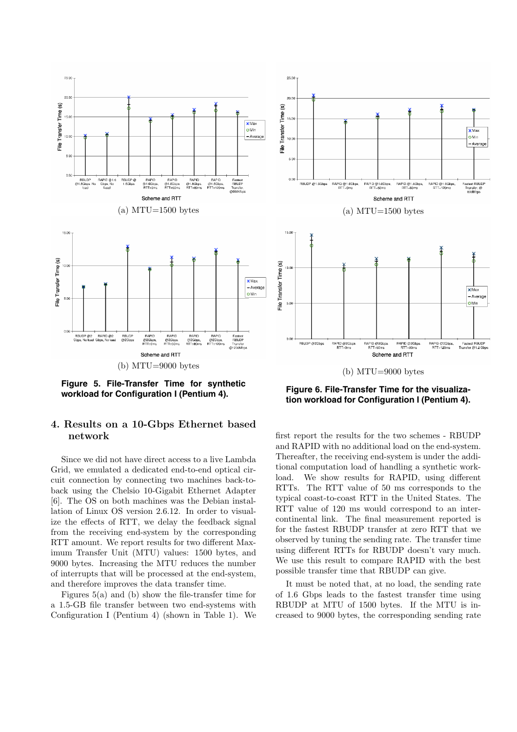



**X**Max

...<br>OMin

 $-$  Average

25.0

20.0

15.00

10.00

 $5.0$ 

 $0.00$ 

 $\mathbf{C}$ 

File Transfer Time

**Figure 5. File-Transfer Time for synthetic workload for Configuration I (Pentium 4).**

# **4. Results on a 10-Gbps Ethernet based network**

Since we did not have direct access to a live Lambda Grid, we emulated a dedicated end-to-end optical circuit connection by connecting two machines back-toback using the Chelsio 10-Gigabit Ethernet Adapter [6]. The OS on both machines was the Debian installation of Linux OS version 2.6.12. In order to visualize the effects of RTT, we delay the feedback signal from the receiving end-system by the corresponding RTT amount. We report results for two different Maximum Transfer Unit (MTU) values: 1500 bytes, and 9000 bytes. Increasing the MTU reduces the number of interrupts that will be processed at the end-system, and therefore improves the data transfer time.

Figures 5(a) and (b) show the file-transfer time for a 1.5-GB file transfer between two end-systems with Configuration I (Pentium 4) (shown in Table 1). We

**Figure 6. File-Transfer Time for the visualization workload for Configuration I (Pentium 4).**

first report the results for the two schemes - RBUDP and RAPID with no additional load on the end-system. Thereafter, the receiving end-system is under the additional computation load of handling a synthetic workload. We show results for RAPID, using different RTTs. The RTT value of 50 ms corresponds to the typical coast-to-coast RTT in the United States. The RTT value of 120 ms would correspond to an intercontinental link. The final measurement reported is for the fastest RBUDP transfer at zero RTT that we observed by tuning the sending rate. The transfer time using different RTTs for RBUDP doesn't vary much. We use this result to compare RAPID with the best possible transfer time that RBUDP can give.

It must be noted that, at no load, the sending rate of 1.6 Gbps leads to the fastest transfer time using RBUDP at MTU of 1500 bytes. If the MTU is increased to 9000 bytes, the corresponding sending rate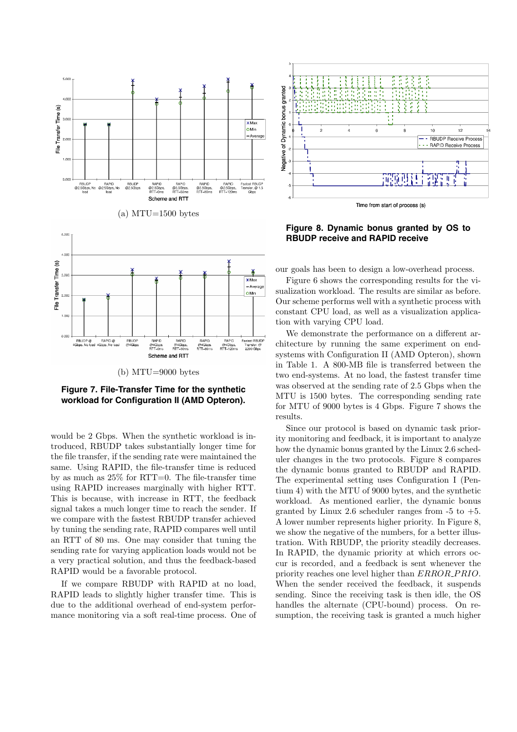

**Figure 7. File-Transfer Time for the synthetic workload for Configuration II (AMD Opteron).**

would be 2 Gbps. When the synthetic workload is introduced, RBUDP takes substantially longer time for the file transfer, if the sending rate were maintained the same. Using RAPID, the file-transfer time is reduced by as much as  $25\%$  for RTT=0. The file-transfer time using RAPID increases marginally with higher RTT. This is because, with increase in RTT, the feedback signal takes a much longer time to reach the sender. If we compare with the fastest RBUDP transfer achieved by tuning the sending rate, RAPID compares well until an RTT of 80 ms. One may consider that tuning the sending rate for varying application loads would not be a very practical solution, and thus the feedback-based RAPID would be a favorable protocol.

If we compare RBUDP with RAPID at no load, RAPID leads to slightly higher transfer time. This is due to the additional overhead of end-system performance monitoring via a soft real-time process. One of



Time from start of process (s)

**Figure 8. Dynamic bonus granted by OS to RBUDP receive and RAPID receive**

our goals has been to design a low-overhead process.

Figure 6 shows the corresponding results for the visualization workload. The results are similar as before. Our scheme performs well with a synthetic process with constant CPU load, as well as a visualization application with varying CPU load.

We demonstrate the performance on a different architecture by running the same experiment on endsystems with Configuration II (AMD Opteron), shown in Table 1. A 800-MB file is transferred between the two end-systems. At no load, the fastest transfer time was observed at the sending rate of 2.5 Gbps when the MTU is 1500 bytes. The corresponding sending rate for MTU of 9000 bytes is 4 Gbps. Figure 7 shows the results.

Since our protocol is based on dynamic task priority monitoring and feedback, it is important to analyze how the dynamic bonus granted by the Linux 2.6 scheduler changes in the two protocols. Figure 8 compares the dynamic bonus granted to RBUDP and RAPID. The experimental setting uses Configuration I (Pentium 4) with the MTU of 9000 bytes, and the synthetic workload. As mentioned earlier, the dynamic bonus granted by Linux 2.6 scheduler ranges from  $-5$  to  $+5$ . A lower number represents higher priority. In Figure 8, we show the negative of the numbers, for a better illustration. With RBUDP, the priority steadily decreases. In RAPID, the dynamic priority at which errors occur is recorded, and a feedback is sent whenever the priority reaches one level higher than *ERROR P RIO*. When the sender received the feedback, it suspends sending. Since the receiving task is then idle, the OS handles the alternate (CPU-bound) process. On resumption, the receiving task is granted a much higher